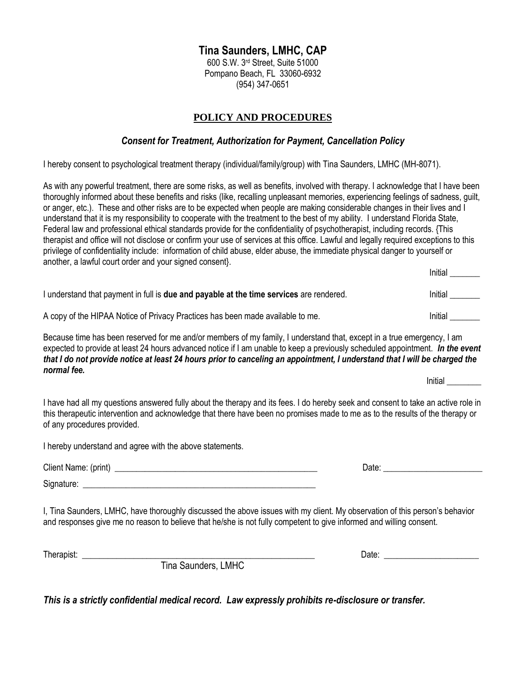# **Tina Saunders, LMHC, CAP**

600 S.W. 3rd Street, Suite 51000 Pompano Beach, FL 33060-6932 (954) 347-0651

# **POLICY AND PROCEDURES**

### *Consent for Treatment, Authorization for Payment, Cancellation Policy*

I hereby consent to psychological treatment therapy (individual/family/group) with Tina Saunders, LMHC (MH-8071).

As with any powerful treatment, there are some risks, as well as benefits, involved with therapy. I acknowledge that I have been thoroughly informed about these benefits and risks (like, recalling unpleasant memories, experiencing feelings of sadness, guilt, or anger, etc.). These and other risks are to be expected when people are making considerable changes in their lives and I understand that it is my responsibility to cooperate with the treatment to the best of my ability. I understand Florida State, Federal law and professional ethical standards provide for the confidentiality of psychotherapist, including records. {This therapist and office will not disclose or confirm your use of services at this office. Lawful and legally required exceptions to this privilege of confidentiality include: information of child abuse, elder abuse, the immediate physical danger to yourself or another, a lawful court order and your signed consent}.

|                                                                                                | Initial |
|------------------------------------------------------------------------------------------------|---------|
| I understand that payment in full is <b>due and payable at the time services</b> are rendered. | Initial |
| A copy of the HIPAA Notice of Privacy Practices has been made available to me.                 | Initial |

Because time has been reserved for me and/or members of my family, I understand that, except in a true emergency, I am expected to provide at least 24 hours advanced notice if I am unable to keep a previously scheduled appointment. *In the event that I do not provide notice at least 24 hours prior to canceling an appointment, I understand that I will be charged the normal fee.*  Initial

I have had all my questions answered fully about the therapy and its fees. I do hereby seek and consent to take an active role in this therapeutic intervention and acknowledge that there have been no promises made to me as to the results of the therapy or of any procedures provided.

I hereby understand and agree with the above statements.

| Client Name: (print) | Date |
|----------------------|------|
| Signature:           |      |

I, Tina Saunders, LMHC, have thoroughly discussed the above issues with my client. My observation of this person's behavior and responses give me no reason to believe that he/she is not fully competent to give informed and willing consent.

| Therapist: |                                     | Date |
|------------|-------------------------------------|------|
|            | --<br><b>LMHC</b><br>Tina Saunders, |      |

*This is a strictly confidential medical record. Law expressly prohibits re-disclosure or transfer.*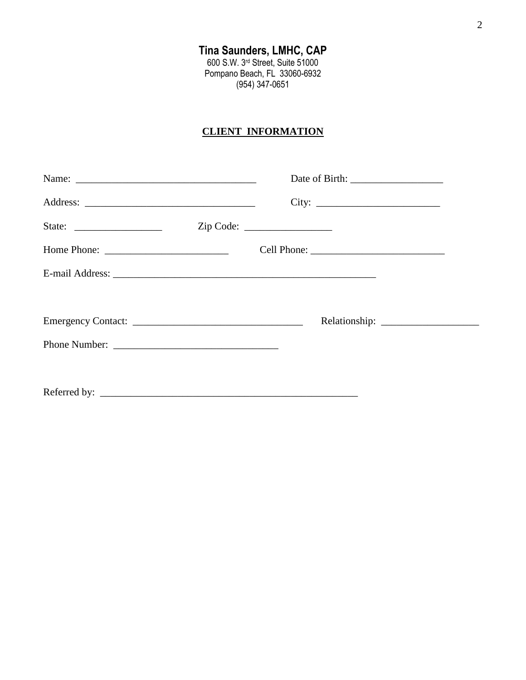# **CLIENT INFORMATION**

| State: $\frac{1}{\sqrt{1-\frac{1}{2}} \cdot \frac{1}{2}}$                                                                                                                                                                                                                                                                                                                                 | Zip Code: |
|-------------------------------------------------------------------------------------------------------------------------------------------------------------------------------------------------------------------------------------------------------------------------------------------------------------------------------------------------------------------------------------------|-----------|
| Home Phone: $\frac{1}{\sqrt{1-\frac{1}{2}}}\left\{ \frac{1}{2} + \frac{1}{2} \frac{1}{2} + \frac{1}{2} \frac{1}{2} + \frac{1}{2} \frac{1}{2} + \frac{1}{2} \frac{1}{2} + \frac{1}{2} \frac{1}{2} + \frac{1}{2} \frac{1}{2} + \frac{1}{2} \frac{1}{2} + \frac{1}{2} \frac{1}{2} + \frac{1}{2} \frac{1}{2} + \frac{1}{2} \frac{1}{2} + \frac{1}{2} \frac{1}{2} + \frac{1}{2} \frac{1}{2} +$ |           |
|                                                                                                                                                                                                                                                                                                                                                                                           |           |
|                                                                                                                                                                                                                                                                                                                                                                                           |           |
|                                                                                                                                                                                                                                                                                                                                                                                           |           |
|                                                                                                                                                                                                                                                                                                                                                                                           |           |
|                                                                                                                                                                                                                                                                                                                                                                                           |           |
|                                                                                                                                                                                                                                                                                                                                                                                           |           |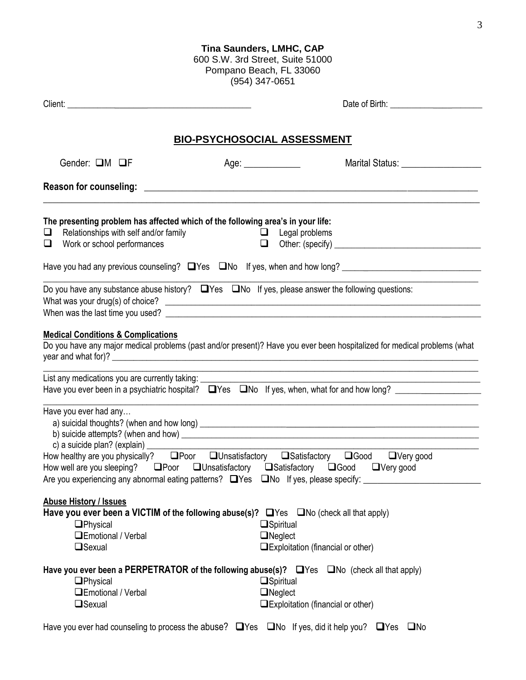#### **Tina Saunders, LMHC, CAP**

600 S.W. 3rd Street, Suite 51000 Pompano Beach, FL 33060 (954) 347-0651

|                                                                                                                                                                                                           | <b>BIO-PSYCHOSOCIAL ASSESSMENT</b> |                                                                                                                                                                                                                                                                                                                                                                                                                      |
|-----------------------------------------------------------------------------------------------------------------------------------------------------------------------------------------------------------|------------------------------------|----------------------------------------------------------------------------------------------------------------------------------------------------------------------------------------------------------------------------------------------------------------------------------------------------------------------------------------------------------------------------------------------------------------------|
| Gender: <b>QM QF</b>                                                                                                                                                                                      | Age: _____________                 | Marital Status: University of Article                                                                                                                                                                                                                                                                                                                                                                                |
|                                                                                                                                                                                                           |                                    |                                                                                                                                                                                                                                                                                                                                                                                                                      |
| The presenting problem has affected which of the following area's in your life:<br>Relationships with self and/or family<br>⊔.<br>Work or school performances<br>O                                        | $\Box$                             | <b>Example 1</b> Legal problems                                                                                                                                                                                                                                                                                                                                                                                      |
|                                                                                                                                                                                                           |                                    | Have you had any previous counseling? U Yes U No If yes, when and how long? __________________________________                                                                                                                                                                                                                                                                                                       |
| <b>Medical Conditions &amp; Complications</b>                                                                                                                                                             |                                    | Do you have any substance abuse history? $\Box$ Yes $\Box$ No If yes, please answer the following questions:                                                                                                                                                                                                                                                                                                         |
|                                                                                                                                                                                                           |                                    | Do you have any major medical problems (past and/or present)? Have you ever been hospitalized for medical problems (what                                                                                                                                                                                                                                                                                             |
| List any medications you are currently taking: __________                                                                                                                                                 |                                    | <u> 1989 - Johann Barbara, martin amerikan basal dan berasal dalam basal dalam basal dalam basal dalam basal dala</u><br>Have you ever been in a psychiatric hospital? $\Box$ Yes $\Box$ No If yes, when, what for and how long? $\Box$                                                                                                                                                                              |
| Have you ever had any                                                                                                                                                                                     |                                    | How healthy are you physically?<br><b>IDED</b> Poor <b>IDED</b> Unsatisfactory<br><b>IDED</b> Satisfactory<br><b>IDED</b> Satisfactory <b>IDED</b> Satisfactory <b>IDED</b> Satisfactory <b>I</b> DED ON THE Very good<br>How well are you sleeping? □ Poor □ Unsatisfactory □ Satisfactory □ Good □ Very good<br>Are you experiencing any abnormal eating patterns? □ Yes □ No If yes, please specify: ____________ |
| <b>Abuse History / Issues</b><br>Have you ever been a VICTIM of the following abuse(s)? $\Box$ Yes $\Box$ No (check all that apply)<br><b>O</b> Physical<br><b>QEmotional / Verbal</b><br><b>O</b> Sexual |                                    | $\Box$ Spiritual<br>$\Box$ Neglect<br>$\Box$ Exploitation (financial or other)                                                                                                                                                                                                                                                                                                                                       |
| $\Box$ Physical<br><b>QEmotional / Verbal</b><br><b>O</b> Sexual                                                                                                                                          |                                    | Have you ever been a PERPETRATOR of the following abuse(s)? $\Box$ Yes $\Box$ No (check all that apply)<br>$\Box$ Spiritual<br>$\Box$ Neglect<br>$\Box$ Exploitation (financial or other)                                                                                                                                                                                                                            |
|                                                                                                                                                                                                           |                                    | Have you ever had counseling to process the abuse? $\Box$ Yes $\Box$ No If yes, did it help you? $\Box$ Yes $\Box$ No                                                                                                                                                                                                                                                                                                |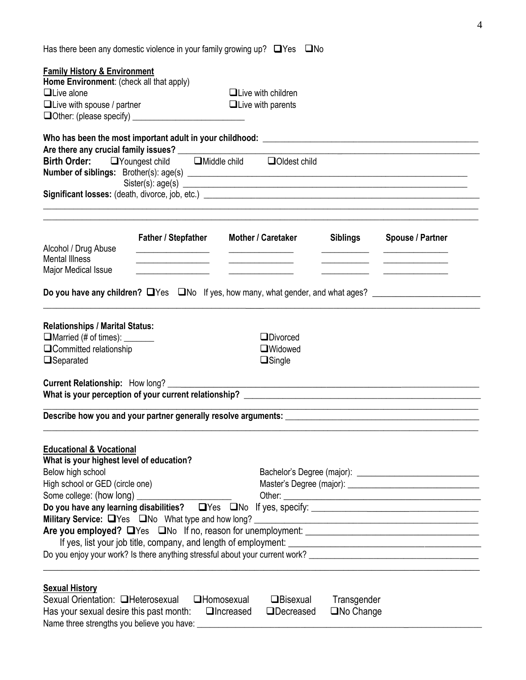| Has there been any domestic violence in your family growing up? $\Box$ Yes $\Box$ No |  |
|--------------------------------------------------------------------------------------|--|
|                                                                                      |  |

| <b>Family History &amp; Environment</b>       |                                            |                                                                                                  |                 |                                                                                                                 |
|-----------------------------------------------|--------------------------------------------|--------------------------------------------------------------------------------------------------|-----------------|-----------------------------------------------------------------------------------------------------------------|
| Home Environment: (check all that apply)      |                                            |                                                                                                  |                 |                                                                                                                 |
| $\Box$ Live alone                             |                                            | $\Box$ Live with children<br>$\Box$ Live with parents                                            |                 |                                                                                                                 |
| $\Box$ Live with spouse / partner             |                                            |                                                                                                  |                 |                                                                                                                 |
|                                               |                                            |                                                                                                  |                 |                                                                                                                 |
|                                               |                                            |                                                                                                  |                 |                                                                                                                 |
|                                               |                                            | Are there any crucial family issues?<br>Birth Order: DYoungest child DMiddle child DOldest child |                 |                                                                                                                 |
|                                               |                                            |                                                                                                  |                 |                                                                                                                 |
|                                               |                                            | Sister(s): age(s)                                                                                |                 |                                                                                                                 |
|                                               |                                            |                                                                                                  |                 |                                                                                                                 |
|                                               | <b>Father / Stepfather</b>                 | <b>Mother / Caretaker</b>                                                                        | <b>Siblings</b> | <b>Spouse / Partner</b>                                                                                         |
| Alcohol / Drug Abuse<br><b>Mental Illness</b> | <u> 1989 - Johann Barbara, martin a</u>    |                                                                                                  |                 |                                                                                                                 |
| Major Medical Issue                           |                                            |                                                                                                  |                 |                                                                                                                 |
|                                               | <u> 1989 - Johann Barn, mars ann an t-</u> |                                                                                                  |                 |                                                                                                                 |
|                                               |                                            |                                                                                                  |                 | Do you have any children? UYes UNo If yes, how many, what gender, and what ages? _________________________      |
| <b>Relationships / Marital Status:</b>        |                                            |                                                                                                  |                 |                                                                                                                 |
| $\Box$ Married (# of times): $\Box$           |                                            | $\Box$ Divorced                                                                                  |                 |                                                                                                                 |
| □Committed relationship                       |                                            | $\Box$ Widowed                                                                                   |                 |                                                                                                                 |
| □Separated                                    |                                            | $\Box$ Single                                                                                    |                 |                                                                                                                 |
|                                               |                                            |                                                                                                  |                 |                                                                                                                 |
|                                               |                                            |                                                                                                  |                 |                                                                                                                 |
| <b>Educational &amp; Vocational</b>           |                                            |                                                                                                  |                 |                                                                                                                 |
| What is your highest level of education?      |                                            |                                                                                                  |                 |                                                                                                                 |
| Below high school                             |                                            |                                                                                                  |                 |                                                                                                                 |
| High school or GED (circle one)               |                                            |                                                                                                  |                 |                                                                                                                 |
|                                               |                                            |                                                                                                  |                 |                                                                                                                 |
|                                               |                                            |                                                                                                  |                 | Do you have any learning disabilities? $\Box$ Yes $\Box$ No If yes, specify: $\Box$                             |
|                                               |                                            |                                                                                                  |                 |                                                                                                                 |
|                                               |                                            |                                                                                                  |                 |                                                                                                                 |
|                                               |                                            |                                                                                                  |                 |                                                                                                                 |
|                                               |                                            |                                                                                                  |                 | Do you enjoy your work? Is there anything stressful about your current work? __________________________________ |
|                                               |                                            |                                                                                                  |                 |                                                                                                                 |
| <b>Sexual History</b>                         |                                            | Covuel Orientation: Olletaresexual Ollemacesyual Orientation: O                                  |                 |                                                                                                                 |

| Sexual Orientation: □Heterosexual □Homosexual                             | □Bisexual | Transgender |  |
|---------------------------------------------------------------------------|-----------|-------------|--|
| Has your sexual desire this past month: $\Box$ Increased $\Box$ Decreased |           | □No Change  |  |
| Name three strengths you believe you have:                                |           |             |  |